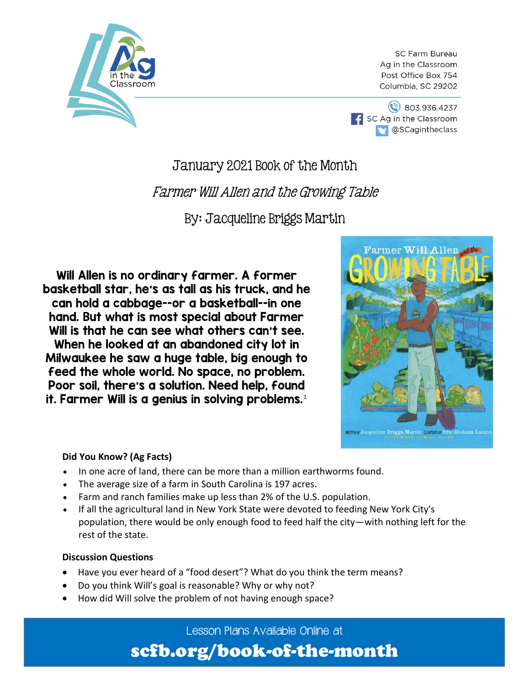

**SC Farm Bureau** Ag in the Classroom Post Office Box 754 Columbia, SC 29202



### January 2021 Book of the Month

### Farmer Will Allen and the Growing Table

By: Jacqueline Briggs Martin

Will Allen is no ordinary farmer. A former basketball star, he's as tall as his truck, and he can hold a cabbage--or a basketball--in one hand. But what is most special about Farmer Will is that he can see what others can't see. When he looked at an abandoned city lot in Milwaukee he saw a huge table, big enough to feed the whole world. No space, no problem. Poor soil, there's a solution. Need help, found it. Farmer Will is a genius in solving problems. $^{\rm 1}$ 



### **Did You Know? (Ag Facts)**

- In one acre of land, there can be more than a million earthworms found.
- The average size of a farm in South Carolina is 197 acres.
- Farm and ranch families make up less than 2% of the U.S. population.
- If all the agricultural land in New York State were devoted to feeding New York City's population, there would be only enough food to feed half the city—with nothing left for the rest of the state.

### **Discussion Questions**

- Have you ever heard of a "food desert"? What do you think the term means?
- Do you think Will's goal is reasonable? Why or why not?
- How did Will solve the problem of not having enough space?

Lesson Plans Available Online at

### scfb.org/book-of-the-month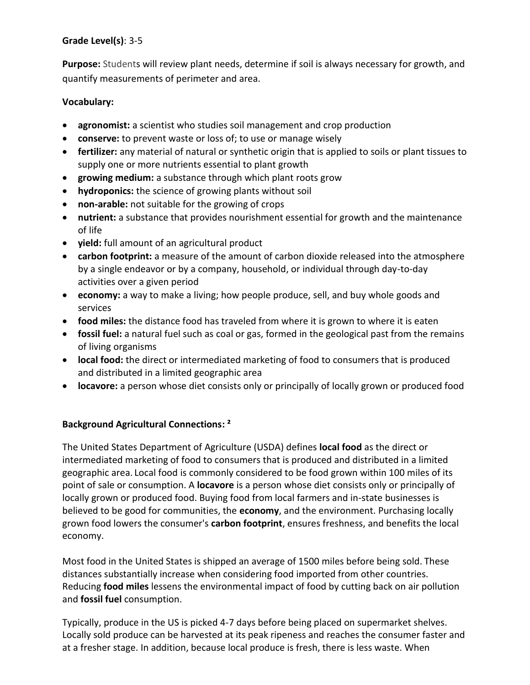### **Grade Level(s)**: 3-5

**Purpose:** Students will review plant needs, determine if soil is always necessary for growth, and quantify measurements of perimeter and area.

### **Vocabulary:**

- **agronomist:** a scientist who studies soil management and crop production
- **conserve:** to prevent waste or loss of; to use or manage wisely
- **fertilizer:** any material of natural or synthetic origin that is applied to soils or plant tissues to supply one or more nutrients essential to plant growth
- **growing medium:** a substance through which plant roots grow
- **hydroponics:** the science of growing plants without soil
- **non-arable:** not suitable for the growing of crops
- **nutrient:** a substance that provides nourishment essential for growth and the maintenance of life
- **yield:** full amount of an agricultural product
- **carbon footprint:** a measure of the amount of carbon dioxide released into the atmosphere by a single endeavor or by a company, household, or individual through day-to-day activities over a given period
- **economy:** a way to make a living; how people produce, sell, and buy whole goods and services
- **food miles:** the distance food has traveled from where it is grown to where it is eaten
- **fossil fuel:** a natural fuel such as coal or gas, formed in the geological past from the remains of living organisms
- **local food:** the direct or intermediated marketing of food to consumers that is produced and distributed in a limited geographic area
- **locavore:** a person whose diet consists only or principally of locally grown or produced food

### **Background Agricultural Connections: ²**

The United States Department of Agriculture (USDA) defines **local food** as the direct or intermediated marketing of food to consumers that is produced and distributed in a limited geographic area. Local food is commonly considered to be food grown within 100 miles of its point of sale or consumption. A **locavore** is a person whose diet consists only or principally of locally grown or produced food. Buying food from local farmers and in-state businesses is believed to be good for communities, the **economy**, and the environment. Purchasing locally grown food lowers the consumer's **carbon footprint**, ensures freshness, and benefits the local economy.

Most food in the United States is shipped an average of 1500 miles before being sold. These distances substantially increase when considering food imported from other countries. Reducing **food miles** lessens the environmental impact of food by cutting back on air pollution and **fossil fuel** consumption.

Typically, produce in the US is picked 4-7 days before being placed on supermarket shelves. Locally sold produce can be harvested at its peak ripeness and reaches the consumer faster and at a fresher stage. In addition, because local produce is fresh, there is less waste. When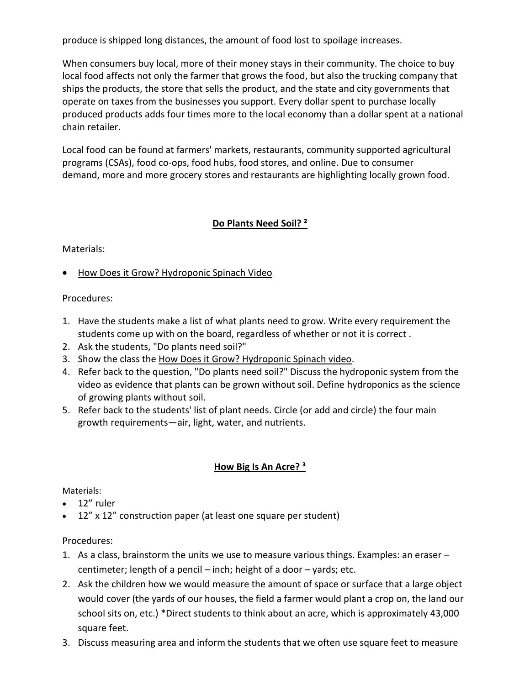produce is shipped long distances, the amount of food lost to spoilage increases.

When consumers buy local, more of their money stays in their community. The choice to buy local food affects not only the farmer that grows the food, but also the trucking company that ships the products, the store that sells the product, and the state and city governments that operate on taxes from the businesses you support. Every dollar spent to purchase locally produced products adds four times more to the local economy than a dollar spent at a national chain retailer.

Local food can be found at farmers' markets, restaurants, community supported agricultural programs (CSAs), food co-ops, food hubs, food stores, and online. Due to consumer demand, more and more grocery stores and restaurants are highlighting locally grown food.

### **Do Plants Need Soil? ²**

Materials:

• [How Does it Grow? Hydroponic Spinach Video](https://www.youtube.com/watch?v=tG9bV2enwI0)

Procedures:

- 1. Have the students make a list of what plants need to grow. Write every requirement the students come up with on the board, regardless of whether or not it is correct .
- 2. Ask the students, "Do plants need soil?"
- 3. Show the class the [How Does it Grow? Hydroponic Spinach video.](https://www.youtube.com/watch?v=tG9bV2enwI0)
- 4. Refer back to the question, "Do plants need soil?" Discuss the hydroponic system from the video as evidence that plants can be grown without soil. Define hydroponics as the science of growing plants without soil.
- 5. Refer back to the students' list of plant needs. Circle (or add and circle) the four main growth requirements—air, light, water, and nutrients.

### **How Big Is An Acre? ³**

Materials:

- 12" ruler
- 12" x 12" construction paper (at least one square per student)

Procedures:

- 1. As a class, brainstorm the units we use to measure various things. Examples: an eraser centimeter; length of a pencil – inch; height of a door – yards; etc.
- 2. Ask the children how we would measure the amount of space or surface that a large object would cover (the yards of our houses, the field a farmer would plant a crop on, the land our school sits on, etc.) \*Direct students to think about an acre, which is approximately 43,000 square feet.
- 3. Discuss measuring area and inform the students that we often use square feet to measure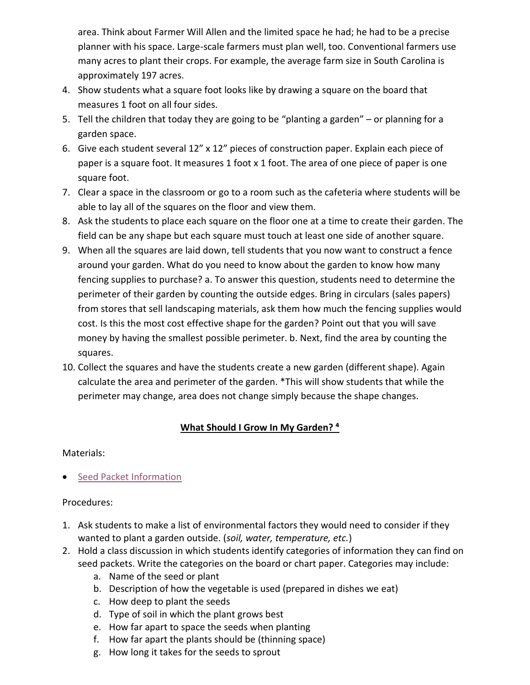area. Think about Farmer Will Allen and the limited space he had; he had to be a precise planner with his space. Large-scale farmers must plan well, too. Conventional farmers use many acres to plant their crops. For example, the average farm size in South Carolina is approximately 197 acres.

- 4. Show students what a square foot looks like by drawing a square on the board that measures 1 foot on all four sides.
- 5. Tell the children that today they are going to be "planting a garden" or planning for a garden space.
- 6. Give each student several 12" x 12" pieces of construction paper. Explain each piece of paper is a square foot. It measures 1 foot x 1 foot. The area of one piece of paper is one square foot.
- 7. Clear a space in the classroom or go to a room such as the cafeteria where students will be able to lay all of the squares on the floor and view them.
- 8. Ask the students to place each square on the floor one at a time to create their garden. The field can be any shape but each square must touch at least one side of another square.
- 9. When all the squares are laid down, tell students that you now want to construct a fence around your garden. What do you need to know about the garden to know how many fencing supplies to purchase? a. To answer this question, students need to determine the perimeter of their garden by counting the outside edges. Bring in circulars (sales papers) from stores that sell landscaping materials, ask them how much the fencing supplies would cost. Is this the most cost effective shape for the garden? Point out that you will save money by having the smallest possible perimeter. b. Next, find the area by counting the squares.
- 10. Collect the squares and have the students create a new garden (different shape). Again calculate the area and perimeter of the garden. \*This will show students that while the perimeter may change, area does not change simply because the shape changes.

### **What Should I Grow In My Garden? ⁴**

### Materials:

**•** [Seed Packet Information](https://cdn.agclassroom.org/media/uploads/2015/04/20/Master_4.4_2.pdf)

### Procedures:

- 1. Ask students to make a list of environmental factors they would need to consider if they wanted to plant a garden outside. (*soil, water, temperature, etc.*)
- 2. Hold a class discussion in which students identify categories of information they can find on seed packets. Write the categories on the board or chart paper. Categories may include:
	- a. Name of the seed or plant
	- b. Description of how the vegetable is used (prepared in dishes we eat)
	- c. How deep to plant the seeds
	- d. Type of soil in which the plant grows best
	- e. How far apart to space the seeds when planting
	- f. How far apart the plants should be (thinning space)
	- g. How long it takes for the seeds to sprout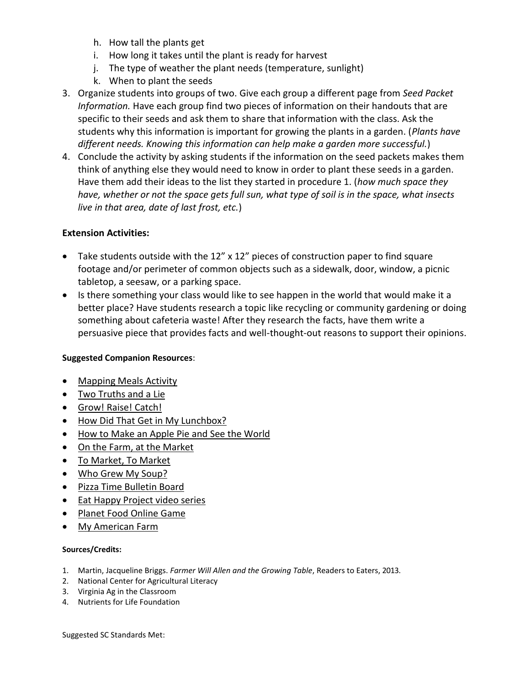- h. How tall the plants get
- i. How long it takes until the plant is ready for harvest
- j. The type of weather the plant needs (temperature, sunlight)
- k. When to plant the seeds
- 3. Organize students into groups of two. Give each group a different page from *Seed Packet Information.* Have each group find two pieces of information on their handouts that are specific to their seeds and ask them to share that information with the class. Ask the students why this information is important for growing the plants in a garden. (*Plants have different needs. Knowing this information can help make a garden more successful.*)
- 4. Conclude the activity by asking students if the information on the seed packets makes them think of anything else they would need to know in order to plant these seeds in a garden. Have them add their ideas to the list they started in procedure 1. (*how much space they have, whether or not the space gets full sun, what type of soil is in the space, what insects live in that area, date of last frost, etc.*)

### **Extension Activities:**

- Take students outside with the 12" x 12" pieces of construction paper to find square footage and/or perimeter of common objects such as a sidewalk, door, window, a picnic tabletop, a seesaw, or a parking space.
- Is there something your class would like to see happen in the world that would make it a better place? Have students research a topic like recycling or community gardening or doing something about cafeteria waste! After they research the facts, have them write a persuasive piece that provides facts and well-thought-out reasons to support their opinions.

### **Suggested Companion Resources**:

- [Mapping Meals Activity](https://agclassroom.org/matrix/resource/88/)
- [Two Truths and a Lie](https://agclassroom.org/matrix/resource/1001/)
- [Grow! Raise! Catch!](https://agclassroom.org/matrix/resource/935/)
- [How Did That Get in My Lunchbox?](https://agclassroom.org/matrix/resource/194/)
- [How to Make an Apple Pie and See the World](https://agclassroom.org/matrix/resource/343/)
- [On the Farm, at the Market](https://agclassroom.org/matrix/resource/926/)
- [To Market, To Market](https://agclassroom.org/matrix/resource/76/)
- [Who Grew My Soup?](https://agclassroom.org/matrix/resource/89/)
- [Pizza Time Bulletin Board](https://agclassroom.org/matrix/resource/386/)
- [Eat Happy Project video series](https://agclassroom.org/matrix/resource/822/)
- [Planet Food Online Game](https://agclassroom.org/matrix/resource/736/)
- [My American Farm](https://agclassroom.org/matrix/resource/434/)

### **Sources/Credits:**

- 1. Martin, Jacqueline Briggs. *Farmer Will Allen and the Growing Table*, Readers to Eaters, 2013.
- 2. National Center for Agricultural Literacy
- 3. Virginia Ag in the Classroom
- 4. Nutrients for Life Foundation

Suggested SC Standards Met: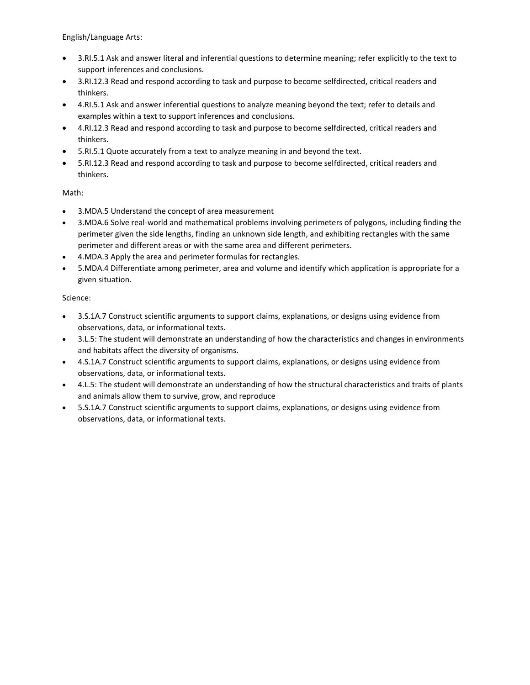English/Language Arts:

- 3.RI.5.1 Ask and answer literal and inferential questions to determine meaning; refer explicitly to the text to support inferences and conclusions.
- 3.RI.12.3 Read and respond according to task and purpose to become selfdirected, critical readers and thinkers.
- 4.RI.5.1 Ask and answer inferential questions to analyze meaning beyond the text; refer to details and examples within a text to support inferences and conclusions.
- 4.RI.12.3 Read and respond according to task and purpose to become selfdirected, critical readers and thinkers.
- 5.RI.5.1 Quote accurately from a text to analyze meaning in and beyond the text.
- 5.RI.12.3 Read and respond according to task and purpose to become selfdirected, critical readers and thinkers.

### Math:

- 3.MDA.5 Understand the concept of area measurement
- 3.MDA.6 Solve real-world and mathematical problems involving perimeters of polygons, including finding the perimeter given the side lengths, finding an unknown side length, and exhibiting rectangles with the same perimeter and different areas or with the same area and different perimeters.
- 4.MDA.3 Apply the area and perimeter formulas for rectangles.
- 5.MDA.4 Differentiate among perimeter, area and volume and identify which application is appropriate for a given situation.

### Science:

- 3.S.1A.7 Construct scientific arguments to support claims, explanations, or designs using evidence from observations, data, or informational texts.
- 3.L.5: The student will demonstrate an understanding of how the characteristics and changes in environments and habitats affect the diversity of organisms.
- 4.S.1A.7 Construct scientific arguments to support claims, explanations, or designs using evidence from observations, data, or informational texts.
- 4.L.5: The student will demonstrate an understanding of how the structural characteristics and traits of plants and animals allow them to survive, grow, and reproduce
- 5.S.1A.7 Construct scientific arguments to support claims, explanations, or designs using evidence from observations, data, or informational texts.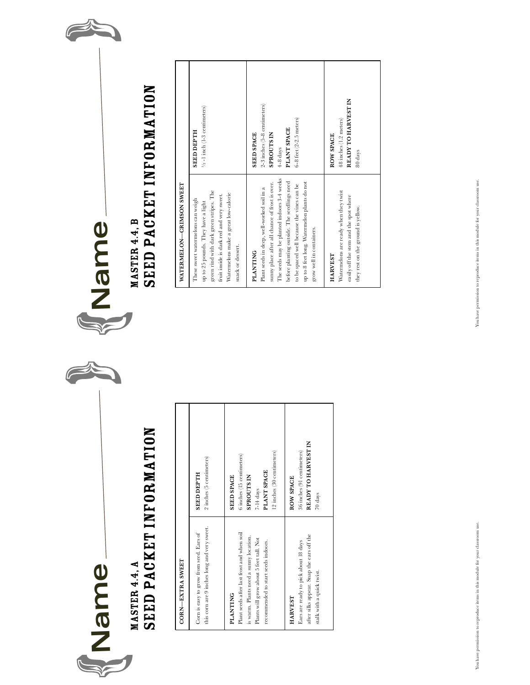

### MASTER 4.4, A Seed Packet Information

| <b>CORN-EXTRASWEET</b>                                                                                                    |                                                                               | WATERMI                                                        |
|---------------------------------------------------------------------------------------------------------------------------|-------------------------------------------------------------------------------|----------------------------------------------------------------|
| this corn are 9 inches long and very sweet.<br>Corn is easy to grow from seed. Ears of                                    | 2 inches (5 centimeters)<br><b>SEED DEPTH</b>                                 | These sweet<br>up to 25 pou<br>green rind w<br>fruit inside i  |
| Plant seeds after last frost and when soil<br><b>PLANTING</b>                                                             | 6 inches (15 centimeters)<br><b>SEED SPACE</b>                                | Watermelon<br>snack or des                                     |
| is warm. Plants need a sunny location.<br>Plants will grow about 5 fect tall. Not<br>recommended to start seeds indoors.  | 12 inches (30 centimeters)<br>PLANT SPACE<br><b>SPROUTS IN</b><br>$7-14$ days | <b>PLANTIN</b><br>Plant seeds i<br>sunny place<br>The seeds m  |
| after silks appear. Snap the ears off the<br>Ears are ready to pick about 18 days<br>stalk with a quick twist.<br>HARVEST | READY TO HARVEST IN<br>36 inches (91 centimeters)<br>ROW SPACE<br>70 days     | before plant<br>to be spaced<br>up to 8 feet 1<br>grow well in |
|                                                                                                                           |                                                                               | HARVEST                                                        |





# Seed Packet Information

| $\ddot{\mathsf{S}}$             |
|---------------------------------|
| <b>ZSON</b><br>ì<br><b>TRIN</b> |
| Ξ<br>ì                          |
| VATERM                          |

| green rind with dark green stripes. The<br>Watermelons make a great low-calorie<br>fruit inside is dark red and very sweet.<br>These sweet watermelons can weigh<br>up to 25 pounds. They have a light<br>snack or dessert.                                                                                                           | $\frac{1}{2}$ -1 inch (1-3 centimeters)<br><b>SEED DEPTH</b>                                                                   |
|---------------------------------------------------------------------------------------------------------------------------------------------------------------------------------------------------------------------------------------------------------------------------------------------------------------------------------------|--------------------------------------------------------------------------------------------------------------------------------|
| The seeds may be planted indoors 3-4 weeks<br>before planting outside. The seedlings need<br>sunny place after all chance of frost is over.<br>up to 8 feet long. Watermelon plants do not<br>to be spaced well because the vines can be<br>Plant seeds in deep, well-worked soil in a<br>grow well in containers.<br><b>PLANTING</b> | 2-3 inches (5-8 centimeters)<br>$6-8$ feet (2-2.5 meters)<br>PLANT SPACE<br><b>SPROUTS IN</b><br><b>SEED SPACE</b><br>4-8 days |
| Watermelons are ready when they twist<br>easily off the stem and the spot where<br>they rest on the ground is yellow.<br><b>HARVEST</b>                                                                                                                                                                                               | READY TO HARVEST IN<br>48 inches (1.2 meters)<br>ROW SPACE<br>80 days                                                          |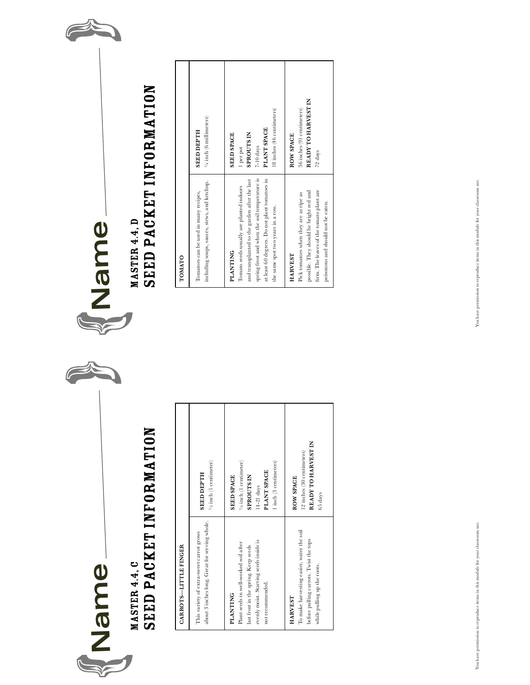

## Master 4.4, C Seed Packet Information **TOMATION**

| UAKKUI S-LII ILLE FINGEK                                                                                                                                       |                                                                                                                                    | <b>UMAIU</b>                                                                             |
|----------------------------------------------------------------------------------------------------------------------------------------------------------------|------------------------------------------------------------------------------------------------------------------------------------|------------------------------------------------------------------------------------------|
| about 3 inches long. Great for serving whole.<br>This variety of extra-sweet carrot grows                                                                      | $\frac{1}{2}$ inch (1 centimeter)<br><b>SEED DEPTH</b>                                                                             | Tomatoes ca<br>including so                                                              |
| evenly moist. Starting seeds inside is<br>Plant seeds in well-worked soil after<br>last frost in the spring. Keep seeds<br>not recommended.<br><b>PLANTING</b> | 1 inch (3 centimeters)<br>$\frac{1}{2}$ inch (1 centimeter)<br>PLANT SPACE<br><b>SEED SPACE</b><br><b>SPROUTS IN</b><br>14-21 days | PLANTIN<br>Tomato see<br>and transpla<br>spring frost:<br>at least 60 de<br>the same spo |
| To make harvesting easier, water the soil<br>before pulling carrots. Twist the tops<br>while pulling up the roots.<br><b>HARVEST</b>                           | READY TO HARVEST IN<br>12 inches (30 centimeters)<br>ROW SPACE<br>65 days                                                          | <b>HARVEST</b><br>Pick tomato<br>possible. Th<br>firm. The lei<br>poisonous ar           |



## Seed Packet Information

| $\frac{1}{4}$ inch (6 millimeters)<br><b>SEED DEPTH</b>                                         | 18 inches (46 centimeters)<br>PLANT SPACE<br><b>SPROUTS IN</b><br><b>SEED SPACE</b><br>$7-10$ days<br>l per pot                                                                                                                                     | READY TO HARVEST IN<br>36 inches (91 centimeters)<br><b>ROW SPACE</b><br>72 days                                                                                               |
|-------------------------------------------------------------------------------------------------|-----------------------------------------------------------------------------------------------------------------------------------------------------------------------------------------------------------------------------------------------------|--------------------------------------------------------------------------------------------------------------------------------------------------------------------------------|
| including soups, sauces, stews, and ketchup.<br>Tomatoes can be used in many recipes,<br>TOMATO | spring frost and when the soil temperature is<br>at least 60 degrees. Do not plant tomatoes in<br>and transplanted to the garden after the last<br>Tomato seeds usually are planted indoors<br>the same spot two years in a row.<br><b>PLANTING</b> | firm. The leaves of the tomato plant are<br>possible. They should be bright red and<br>Pick tomatoes when they are as ripe as<br>poisonous and should not be eaten.<br>HARVEST |
|                                                                                                 |                                                                                                                                                                                                                                                     |                                                                                                                                                                                |

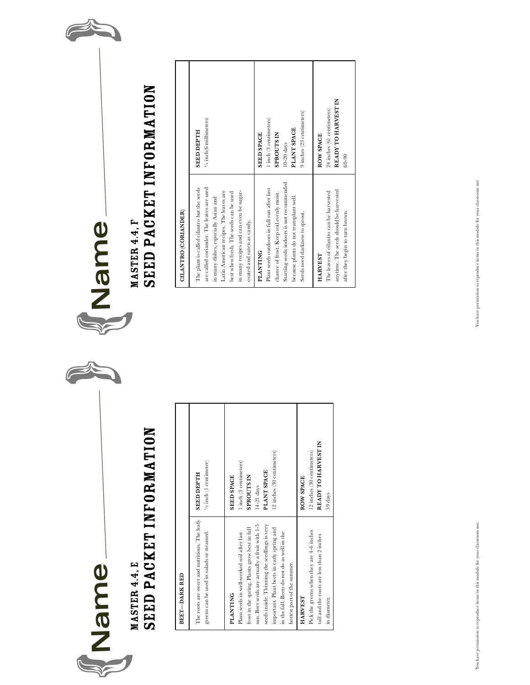

### Master 4.4, E Seed Packet Information

| <b>BEET-DARK RED</b>                                                                                                                                                                                                      |                                                                           | <b>CILANTR</b>                                                          |
|---------------------------------------------------------------------------------------------------------------------------------------------------------------------------------------------------------------------------|---------------------------------------------------------------------------|-------------------------------------------------------------------------|
| The roots are sweet and nutritious. The leafy<br>greens can be used in salads or steamed.                                                                                                                                 | $V_2$ inch (1 centimeter)<br><b>SEED DEPTH</b>                            | The plant is<br>are called co<br>in many dish<br>Latin Ameri            |
| frost in the spring. Plants grow best in full<br>Plant seeds in well-worked soil after last<br><b>PLANTING</b>                                                                                                            | 1 inch (3 centimeters)<br><b>SEED SPACE</b><br><b>SPROUTS IN</b>          | best when fr<br>in many reci<br>coated and e                            |
| sun. Beet seeds are actually a fruit with 1-5<br>seeds inside. Thinning the seedlings is very<br>important. Plant beets in early spring and<br>in the fall. Beets do not do as well in the<br>hottest part of the summer. | 12 inches (30 centimeters)<br>PLANT SPACE<br>14-21 days                   | PLANTIN<br>Plant seeds<br>chance of fro<br>Starting see<br>because plar |
| Pick the greens when they are 4-6 inches<br>tall and the roots are less than 2 inches<br><b>HARVEST</b><br>in diameter.                                                                                                   | READY TO HARVEST IN<br>12 inches (30 centimeters)<br>ROW SPACE<br>59 days | Seeds need o<br><b>HARVEST</b><br>The leaves o                          |



### MASTER 4.4, F Seed Packet Information

|                             | 1/4 inch(6 millimeters)<br><b>HLAH DELISS</b>                                                                                                                                                                                                                                               | 9 inches (23 centimeters)<br>1 inch (3 centimeters)<br>PLANT SPACE<br><b>SEED SPACE</b><br><b>SPROUTS IN</b><br>$10-20$ days                                                                                                        | READY TO HARVEST IN<br>24 inches (61 centimeters)<br>ROW SPACE<br>$60 - 90$                                                            |
|-----------------------------|---------------------------------------------------------------------------------------------------------------------------------------------------------------------------------------------------------------------------------------------------------------------------------------------|-------------------------------------------------------------------------------------------------------------------------------------------------------------------------------------------------------------------------------------|----------------------------------------------------------------------------------------------------------------------------------------|
| <b>CILANTRO (CORIANDER)</b> | are called coriander. The leaves are used<br>The plant is called cilantro but the seeds<br>in many recipes and can even be sugar-<br>Latin American recipes. The leaves are<br>best when fresh. The seeds can be used<br>in many dishes, especially Asian and<br>coated and eaten as candy. | Starting seeds indoors is not recommended<br>Plant seeds outdoors in full sun after last<br>chance of frost. Keep soil evenly moist.<br>because plants do not transplant well.<br>Seeds need darkness to sprout.<br><b>PLANTING</b> | anytime. The seeds should be harvested<br>The leaves of cilantro can be harvested<br>after they begin to turn brown.<br><b>HARVEST</b> |
|                             |                                                                                                                                                                                                                                                                                             |                                                                                                                                                                                                                                     |                                                                                                                                        |

You have permission to reproduce items in this module for your classroom use. You have permission to reproduce items in this module for your classroom use.

You have permission to reproduce items in this module for your classroom use. You have permission to reproduce items in this module for your classroom use.

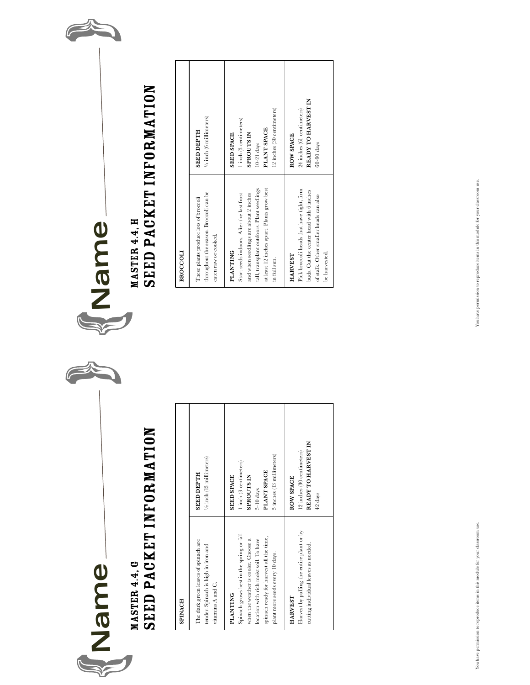

## Master 4.4, G Seed Packet Information **Broccoli**

| <b>SPINACH</b>                                                                                                                                                                                                              |                                                                                                                           | <b>BROCCOL</b>                                                                              |
|-----------------------------------------------------------------------------------------------------------------------------------------------------------------------------------------------------------------------------|---------------------------------------------------------------------------------------------------------------------------|---------------------------------------------------------------------------------------------|
| The dark green leaves of spinach are<br>tender. Spinach is high in iron and<br>vitamins A and C.                                                                                                                            | 1/2 inch (13 millimeters)<br><b>SEED DEPTH</b>                                                                            | These plants<br>throughout t<br>eaten raw or                                                |
| Spinach grows best in the spring or fall<br>spinach ready for harvest all the time,<br>when the weather is cooler. Choose a<br>location with rich moist soil. To have<br>plant more seeds every 10 days.<br><b>PLANTING</b> | 5 inches (13 millimeters)<br>1 inch (3 centimeters)<br>PLANT SPACE<br><b>SEED SPACE</b><br><b>SPROUTS IN</b><br>5-10 days | PLANTIN<br>Start seeds i<br>and when se<br>tall, transpla<br>at least 12 in<br>in full sun. |
| Harvest by pulling the entire plant or by<br>cutting individual leaves as needed.<br>HARVEST                                                                                                                                | READY TO HARVEST IN<br>12 inches (30 centimeters)<br>ROW SPACE<br>42 days                                                 | <b>HARVEST</b><br>Pick broccol<br>buds. Cut th<br>of stalk. Oth<br>be harvested             |





# Seed Packet Information

| $\ensuremath{\mathnormal{\text{V}}\xspace}_i$ inch (6 millimeters)<br><b>SEED DEPTH</b>                                    | 12 inches (30 centimeters)<br>1 inch (3 centimeters)<br>PLANT SPACE<br><b>SEED SPACE</b><br><b>SPROUTS IN</b><br>$10-21$ days                                                                                     | READY TO HARVEST IN<br>24 inches (61 centimeters)<br>ROW SPACE<br>60-90 days                                                                                      |
|----------------------------------------------------------------------------------------------------------------------------|-------------------------------------------------------------------------------------------------------------------------------------------------------------------------------------------------------------------|-------------------------------------------------------------------------------------------------------------------------------------------------------------------|
| throughout the season. Broccoli can be<br>These plants produce lots of broccoli<br>eaten raw or cooked.<br><b>BROCCOLI</b> | tall, transplant outdoors. Plant seedlings<br>at least 12 inches apart. Plants grow best<br>and when seedlings are about 2 inches<br>Start seeds indoors. After the last frost<br><b>PLANTING</b><br>in full sun. | Pick broccoli heads that have tight, firm<br>buds. Cut the center head with 6 inches<br>of stalk. Other smaller heads can also<br>be harvested.<br><b>HARVEST</b> |
|                                                                                                                            |                                                                                                                                                                                                                   |                                                                                                                                                                   |